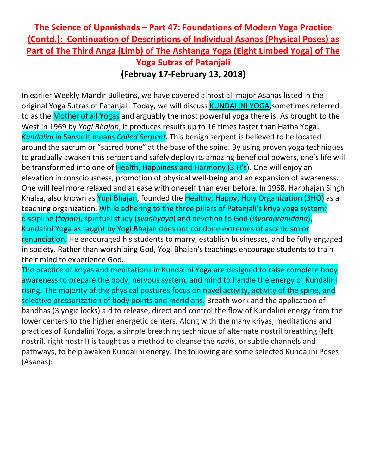## **The Science of Upanishads – Part 47: Foundations of Modern Yoga Practice (Contd.): Continuation of Descriptions of Individual Asanas (Physical Poses) as Part of The Third Anga (Limb) of The Ashtanga Yoga (Eight Limbed Yoga) of The Yoga Sutras of Patanjali (Februay 17-February 13, 2018)**

In earlier Weekly Mandir Bulletins, we have covered almost all major Asanas listed in the original Yoga Sutras of Patanjali. Today, we will discuss KUNDALINI YOGA, sometimes referred to as the Mother of all Yogas and arguably the most powerful yoga there is. As brought to the West in 1969 by *Yogi Bhajan*, it produces results up to 16 times faster than Hatha Yoga. *Kundalini* in Sanskrit means *Coiled Serpent.* This benign serpent is believed to be located around the sacrum or "sacred bone" at the base of the spine. By using proven yoga techniques to gradually awaken this serpent and safely deploy its amazing beneficial powers, one's life will be transformed into one of Health, Happiness and Harmony (3 H's). One will enjoy an elevation in consciousness, promotion of physical well-being and an expansion of awareness. One will feel more relaxed and at ease with oneself than ever before. In 1968, Harbhajan Singh Khalsa, also known as Yogi Bhajan, founded the Healthy, Happy, Holy Organization (3HO) as a teaching organization. While adhering to the three pillars of Patanjali's kriya yoga system: discipline (*tapaḥ*), spiritual study (*svādhyāya*) and devotion to God (*iśvarapraṇidāna*), Kundalini Yoga as taught by Yogi Bhajan does not condone extremes of asceticism or renunciation. He encouraged his students to marry, establish businesses, and be fully engaged in society. Rather than worshiping God, Yogi Bhajan's teachings encourage students to train their mind to experience God.

The practice of kriyas and meditations in Kundalini Yoga are designed to raise complete body awareness to prepare the body, nervous system, and mind to handle the energy of Kundalini rising. The majority of the physical postures focus on navel activity, activity of the spine, and selective pressurization of body points and meridians. Breath work and the application of bandhas (3 yogic locks) aid to release, direct and control the flow of Kundalini energy from the lower centers to the higher energetic centers. Along with the many kriyas, meditations and practices of Kundalini Yoga, a simple breathing technique of alternate nostril breathing (left nostril, right nostril) is taught as a method to cleanse the *nadis*, or subtle channels and pathways, to help awaken Kundalini energy. The following are some selected Kundalini Poses (Asanas):